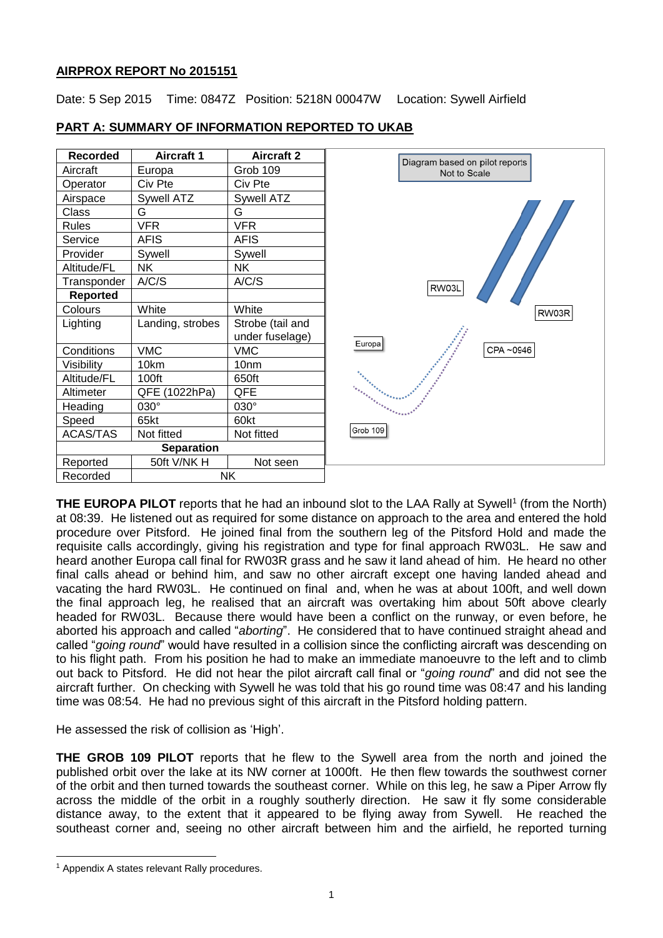## **AIRPROX REPORT No 2015151**

Date: 5 Sep 2015 Time: 0847Z Position: 5218N 00047W Location: Sywell Airfield

| <b>Recorded</b>   | <b>Aircraft 1</b> | <b>Aircraft 2</b> | Diagram based on pilot reports |
|-------------------|-------------------|-------------------|--------------------------------|
| Aircraft          | Europa            | Grob 109          | Not to Scale                   |
| Operator          | Civ Pte           | Civ Pte           |                                |
| Airspace          | Sywell ATZ        | Sywell ATZ        |                                |
| Class             | G                 | G                 |                                |
| Rules             | <b>VFR</b>        | <b>VFR</b>        |                                |
| Service           | <b>AFIS</b>       | <b>AFIS</b>       |                                |
| Provider          | Sywell            | Sywell            |                                |
| Altitude/FL       | <b>NK</b>         | <b>NK</b>         |                                |
| Transponder       | A/C/S             | A/C/S             | RW03L                          |
| Reported          |                   |                   |                                |
| Colours           | White             | White             | RW03R                          |
| Lighting          | Landing, strobes  | Strobe (tail and  |                                |
|                   |                   | under fuselage)   | Europal                        |
| Conditions        | <b>VMC</b>        | <b>VMC</b>        | CPA ~0946                      |
| Visibility        | 10km              | 10 <sub>nm</sub>  |                                |
| Altitude/FL       | 100ft             | 650ft             |                                |
| Altimeter         | QFE (1022hPa)     | QFE               |                                |
| Heading           | 030°              | 030°              |                                |
| Speed             | 65kt              | 60kt              |                                |
| <b>ACAS/TAS</b>   | Not fitted        | Not fitted        | Grob 109                       |
| <b>Separation</b> |                   |                   |                                |
| Reported          | 50ft V/NK H       | Not seen          |                                |
| Recorded          | <b>NK</b>         |                   |                                |

# **PART A: SUMMARY OF INFORMATION REPORTED TO UKAB**

**THE EUROPA PILOT** reports that he had an inbound slot to the LAA Rally at Sywell<sup>1</sup> (from the North) at 08:39. He listened out as required for some distance on approach to the area and entered the hold procedure over Pitsford. He joined final from the southern leg of the Pitsford Hold and made the requisite calls accordingly, giving his registration and type for final approach RW03L. He saw and heard another Europa call final for RW03R grass and he saw it land ahead of him. He heard no other final calls ahead or behind him, and saw no other aircraft except one having landed ahead and vacating the hard RW03L. He continued on final and, when he was at about 100ft, and well down the final approach leg, he realised that an aircraft was overtaking him about 50ft above clearly headed for RW03L. Because there would have been a conflict on the runway, or even before, he aborted his approach and called "*aborting*". He considered that to have continued straight ahead and called "*going round*" would have resulted in a collision since the conflicting aircraft was descending on to his flight path. From his position he had to make an immediate manoeuvre to the left and to climb out back to Pitsford. He did not hear the pilot aircraft call final or "*going round*" and did not see the aircraft further. On checking with Sywell he was told that his go round time was 08:47 and his landing time was 08:54. He had no previous sight of this aircraft in the Pitsford holding pattern.

He assessed the risk of collision as 'High'.

**THE GROB 109 PILOT** reports that he flew to the Sywell area from the north and joined the published orbit over the lake at its NW corner at 1000ft. He then flew towards the southwest corner of the orbit and then turned towards the southeast corner. While on this leg, he saw a Piper Arrow fly across the middle of the orbit in a roughly southerly direction. He saw it fly some considerable distance away, to the extent that it appeared to be flying away from Sywell. He reached the southeast corner and, seeing no other aircraft between him and the airfield, he reported turning

 $\overline{a}$ 

<sup>1</sup> Appendix A states relevant Rally procedures.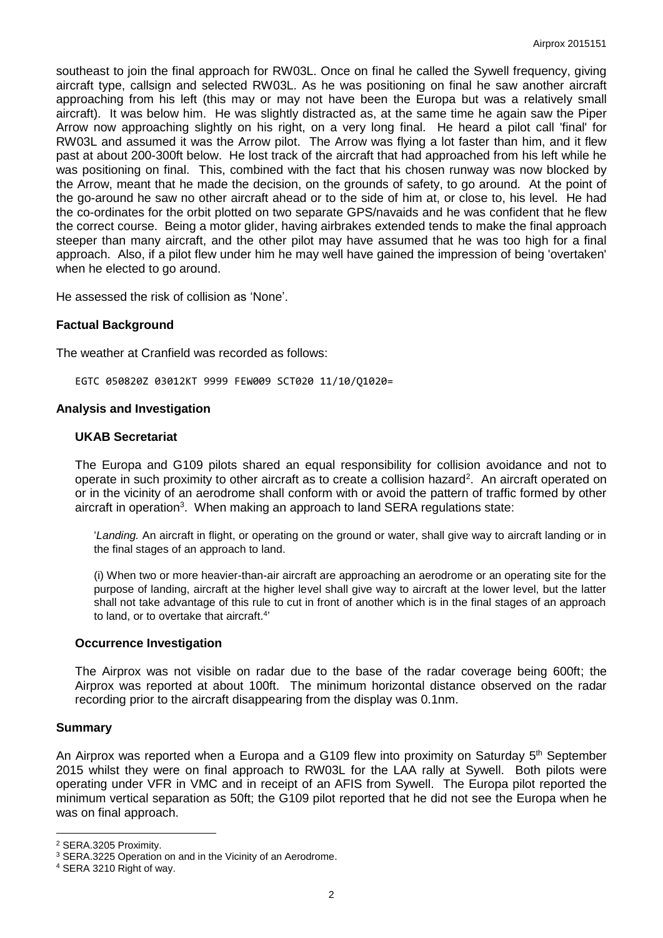southeast to join the final approach for RW03L. Once on final he called the Sywell frequency, giving aircraft type, callsign and selected RW03L. As he was positioning on final he saw another aircraft approaching from his left (this may or may not have been the Europa but was a relatively small aircraft). It was below him. He was slightly distracted as, at the same time he again saw the Piper Arrow now approaching slightly on his right, on a very long final. He heard a pilot call 'final' for RW03L and assumed it was the Arrow pilot. The Arrow was flying a lot faster than him, and it flew past at about 200-300ft below. He lost track of the aircraft that had approached from his left while he was positioning on final. This, combined with the fact that his chosen runway was now blocked by the Arrow, meant that he made the decision, on the grounds of safety, to go around. At the point of the go-around he saw no other aircraft ahead or to the side of him at, or close to, his level. He had the co-ordinates for the orbit plotted on two separate GPS/navaids and he was confident that he flew the correct course. Being a motor glider, having airbrakes extended tends to make the final approach steeper than many aircraft, and the other pilot may have assumed that he was too high for a final approach. Also, if a pilot flew under him he may well have gained the impression of being 'overtaken' when he elected to go around.

He assessed the risk of collision as 'None'.

#### **Factual Background**

The weather at Cranfield was recorded as follows:

EGTC 050820Z 03012KT 9999 FEW009 SCT020 11/10/Q1020=

#### **Analysis and Investigation**

#### **UKAB Secretariat**

The Europa and G109 pilots shared an equal responsibility for collision avoidance and not to operate in such proximity to other aircraft as to create a collision hazard<sup>2</sup>. An aircraft operated on or in the vicinity of an aerodrome shall conform with or avoid the pattern of traffic formed by other aircraft in operation<sup>3</sup>. When making an approach to land SERA regulations state:

'*Landing.* An aircraft in flight, or operating on the ground or water, shall give way to aircraft landing or in the final stages of an approach to land.

(i) When two or more heavier-than-air aircraft are approaching an aerodrome or an operating site for the purpose of landing, aircraft at the higher level shall give way to aircraft at the lower level, but the latter shall not take advantage of this rule to cut in front of another which is in the final stages of an approach to land, or to overtake that aircraft.<sup>4</sup>

#### **Occurrence Investigation**

The Airprox was not visible on radar due to the base of the radar coverage being 600ft; the Airprox was reported at about 100ft. The minimum horizontal distance observed on the radar recording prior to the aircraft disappearing from the display was 0.1nm.

#### **Summary**

 $\overline{a}$ 

An Airprox was reported when a Europa and a G109 flew into proximity on Saturday 5<sup>th</sup> September 2015 whilst they were on final approach to RW03L for the LAA rally at Sywell. Both pilots were operating under VFR in VMC and in receipt of an AFIS from Sywell. The Europa pilot reported the minimum vertical separation as 50ft; the G109 pilot reported that he did not see the Europa when he was on final approach.

<sup>2</sup> SERA.3205 Proximity.

<sup>3</sup> SERA.3225 Operation on and in the Vicinity of an Aerodrome.

<sup>4</sup> SERA 3210 Right of way.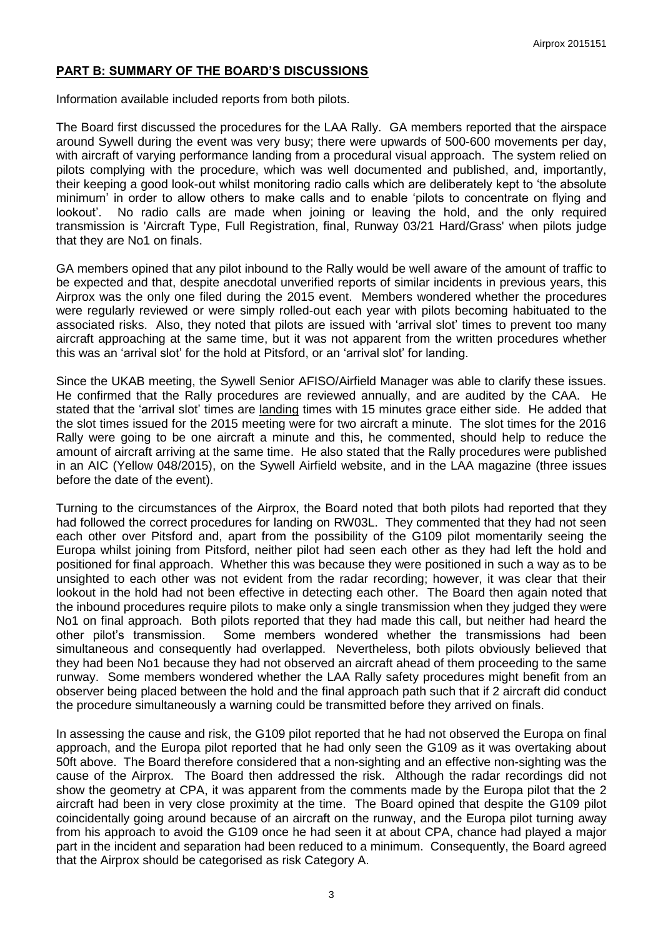## **PART B: SUMMARY OF THE BOARD'S DISCUSSIONS**

Information available included reports from both pilots.

The Board first discussed the procedures for the LAA Rally. GA members reported that the airspace around Sywell during the event was very busy; there were upwards of 500-600 movements per day, with aircraft of varying performance landing from a procedural visual approach. The system relied on pilots complying with the procedure, which was well documented and published, and, importantly, their keeping a good look-out whilst monitoring radio calls which are deliberately kept to 'the absolute minimum' in order to allow others to make calls and to enable 'pilots to concentrate on flying and lookout'. No radio calls are made when joining or leaving the hold, and the only required transmission is 'Aircraft Type, Full Registration, final, Runway 03/21 Hard/Grass' when pilots judge that they are No1 on finals.

GA members opined that any pilot inbound to the Rally would be well aware of the amount of traffic to be expected and that, despite anecdotal unverified reports of similar incidents in previous years, this Airprox was the only one filed during the 2015 event. Members wondered whether the procedures were regularly reviewed or were simply rolled-out each year with pilots becoming habituated to the associated risks. Also, they noted that pilots are issued with 'arrival slot' times to prevent too many aircraft approaching at the same time, but it was not apparent from the written procedures whether this was an 'arrival slot' for the hold at Pitsford, or an 'arrival slot' for landing.

Since the UKAB meeting, the Sywell Senior AFISO/Airfield Manager was able to clarify these issues. He confirmed that the Rally procedures are reviewed annually, and are audited by the CAA. He stated that the 'arrival slot' times are landing times with 15 minutes grace either side. He added that the slot times issued for the 2015 meeting were for two aircraft a minute. The slot times for the 2016 Rally were going to be one aircraft a minute and this, he commented, should help to reduce the amount of aircraft arriving at the same time. He also stated that the Rally procedures were published in an AIC (Yellow 048/2015), on the Sywell Airfield website, and in the LAA magazine (three issues before the date of the event).

Turning to the circumstances of the Airprox, the Board noted that both pilots had reported that they had followed the correct procedures for landing on RW03L. They commented that they had not seen each other over Pitsford and, apart from the possibility of the G109 pilot momentarily seeing the Europa whilst joining from Pitsford, neither pilot had seen each other as they had left the hold and positioned for final approach. Whether this was because they were positioned in such a way as to be unsighted to each other was not evident from the radar recording; however, it was clear that their lookout in the hold had not been effective in detecting each other. The Board then again noted that the inbound procedures require pilots to make only a single transmission when they judged they were No1 on final approach. Both pilots reported that they had made this call, but neither had heard the other pilot's transmission. Some members wondered whether the transmissions had been simultaneous and consequently had overlapped. Nevertheless, both pilots obviously believed that they had been No1 because they had not observed an aircraft ahead of them proceeding to the same runway. Some members wondered whether the LAA Rally safety procedures might benefit from an observer being placed between the hold and the final approach path such that if 2 aircraft did conduct the procedure simultaneously a warning could be transmitted before they arrived on finals.

In assessing the cause and risk, the G109 pilot reported that he had not observed the Europa on final approach, and the Europa pilot reported that he had only seen the G109 as it was overtaking about 50ft above. The Board therefore considered that a non-sighting and an effective non-sighting was the cause of the Airprox. The Board then addressed the risk. Although the radar recordings did not show the geometry at CPA, it was apparent from the comments made by the Europa pilot that the 2 aircraft had been in very close proximity at the time. The Board opined that despite the G109 pilot coincidentally going around because of an aircraft on the runway, and the Europa pilot turning away from his approach to avoid the G109 once he had seen it at about CPA, chance had played a major part in the incident and separation had been reduced to a minimum. Consequently, the Board agreed that the Airprox should be categorised as risk Category A.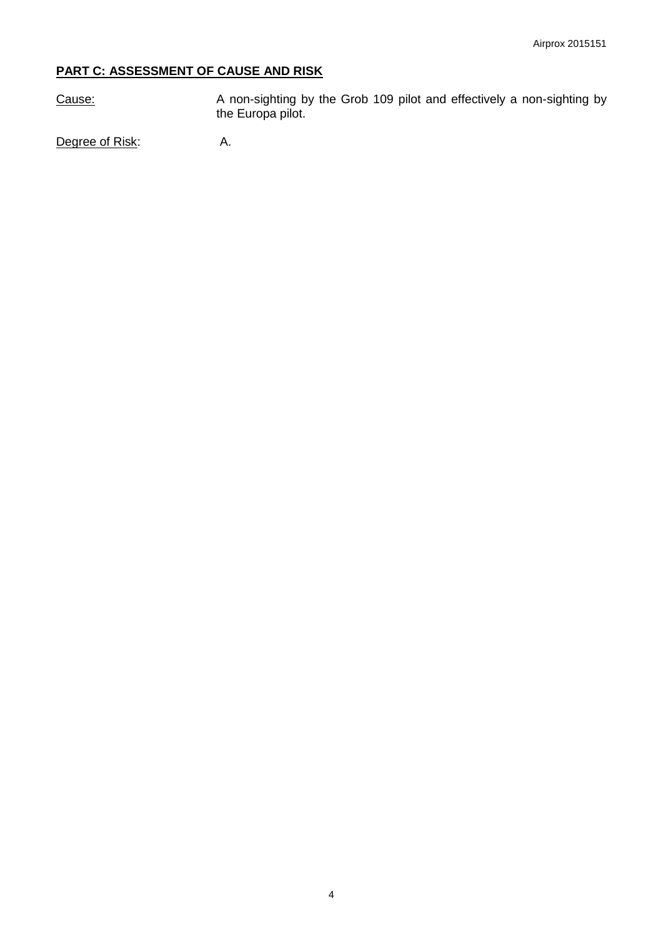# **PART C: ASSESSMENT OF CAUSE AND RISK**

Cause: A non-sighting by the Grob 109 pilot and effectively a non-sighting by the Europa pilot.

Degree of Risk: A.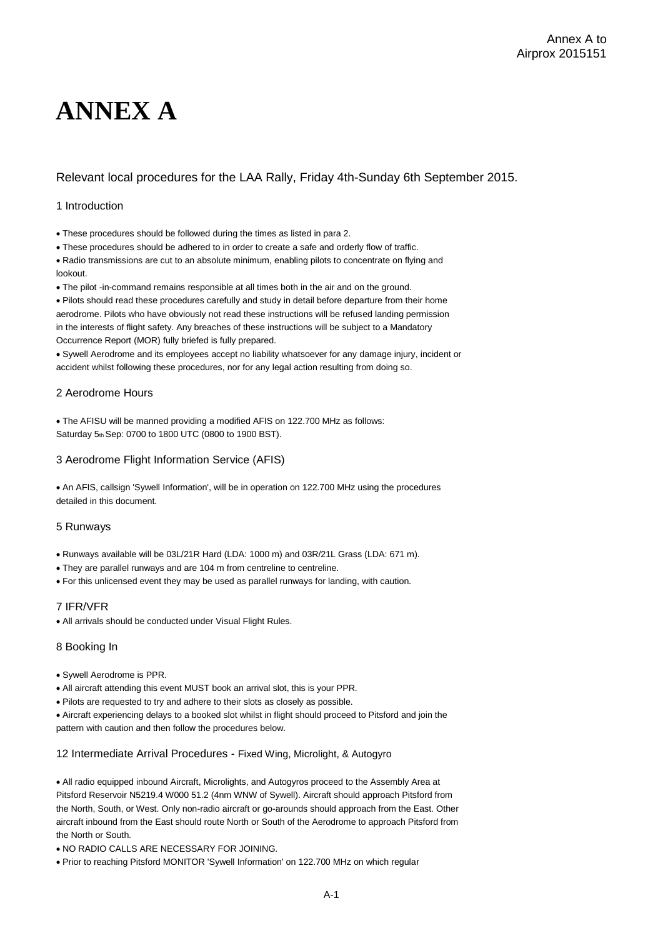# **ANNEX A**

### Relevant local procedures for the LAA Rally, Friday 4th-Sunday 6th September 2015.

#### 1 Introduction

These procedures should be followed during the times as listed in para 2.

These procedures should be adhered to in order to create a safe and orderly flow of traffic.

Radio transmissions are cut to an absolute minimum, enabling pilots to concentrate on flying and lookout.

The pilot -in-command remains responsible at all times both in the air and on the ground.

Pilots should read these procedures carefully and study in detail before departure from their home aerodrome. Pilots who have obviously not read these instructions will be refused landing permission in the interests of flight safety. Any breaches of these instructions will be subject to a Mandatory Occurrence Report (MOR) fully briefed is fully prepared.

Sywell Aerodrome and its employees accept no liability whatsoever for any damage injury, incident or accident whilst following these procedures, nor for any legal action resulting from doing so.

#### 2 Aerodrome Hours

The AFISU will be manned providing a modified AFIS on 122.700 MHz as follows: Saturday 5th Sep: 0700 to 1800 UTC (0800 to 1900 BST).

#### 3 Aerodrome Flight Information Service (AFIS)

An AFIS, callsign 'Sywell Information', will be in operation on 122.700 MHz using the procedures detailed in this document.

#### 5 Runways

Runways available will be 03L/21R Hard (LDA: 1000 m) and 03R/21L Grass (LDA: 671 m).

- They are parallel runways and are 104 m from centreline to centreline.
- For this unlicensed event they may be used as parallel runways for landing, with caution.

#### 7 IFR/VFR

All arrivals should be conducted under Visual Flight Rules.

#### 8 Booking In

- Sywell Aerodrome is PPR.
- All aircraft attending this event MUST book an arrival slot, this is your PPR.
- Pilots are requested to try and adhere to their slots as closely as possible.

Aircraft experiencing delays to a booked slot whilst in flight should proceed to Pitsford and join the pattern with caution and then follow the procedures below.

#### 12 Intermediate Arrival Procedures - Fixed Wing, Microlight, & Autogyro

All radio equipped inbound Aircraft, Microlights, and Autogyros proceed to the Assembly Area at Pitsford Reservoir N5219.4 W000 51.2 (4nm WNW of Sywell). Aircraft should approach Pitsford from the North, South, or West. Only non-radio aircraft or go-arounds should approach from the East. Other aircraft inbound from the East should route North or South of the Aerodrome to approach Pitsford from the North or South.

. NO RADIO CALLS ARE NECESSARY FOR JOINING.

Prior to reaching Pitsford MONITOR 'Sywell Information' on 122.700 MHz on which regular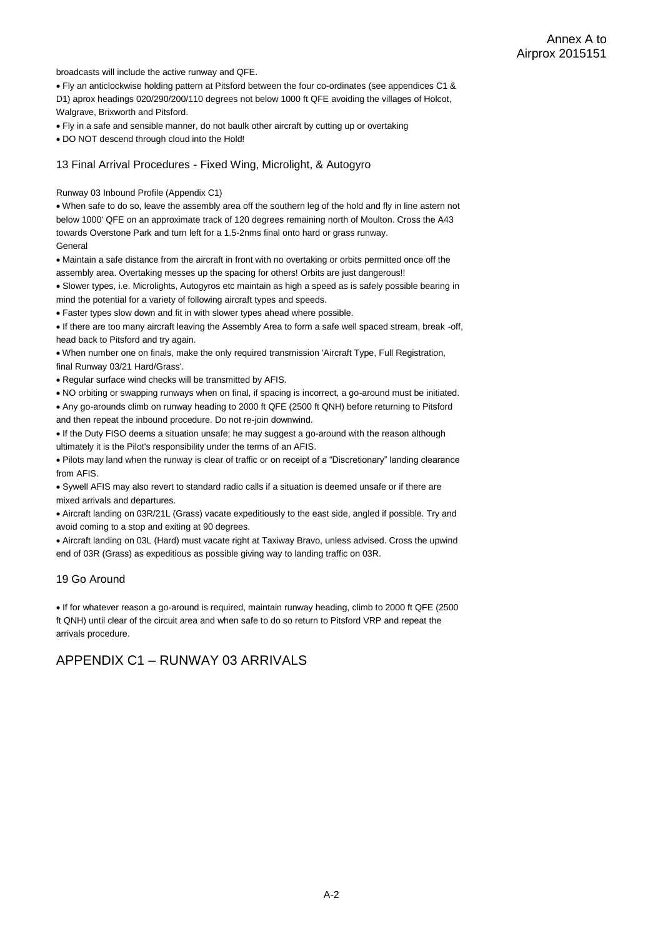broadcasts will include the active runway and QFE.

Fly an anticlockwise holding pattern at Pitsford between the four co-ordinates (see appendices C1 & D1) aprox headings 020/290/200/110 degrees not below 1000 ft QFE avoiding the villages of Holcot, Walgrave, Brixworth and Pitsford.

Fly in a safe and sensible manner, do not baulk other aircraft by cutting up or overtaking

DO NOT descend through cloud into the Hold!

#### 13 Final Arrival Procedures - Fixed Wing, Microlight, & Autogyro

Runway 03 Inbound Profile (Appendix C1)

When safe to do so, leave the assembly area off the southern leg of the hold and fly in line astern not below 1000' QFE on an approximate track of 120 degrees remaining north of Moulton. Cross the A43 towards Overstone Park and turn left for a 1.5-2nms final onto hard or grass runway. General

Maintain a safe distance from the aircraft in front with no overtaking or orbits permitted once off the assembly area. Overtaking messes up the spacing for others! Orbits are just dangerous!!

 Slower types, i.e. Microlights, Autogyros etc maintain as high a speed as is safely possible bearing in mind the potential for a variety of following aircraft types and speeds.

Faster types slow down and fit in with slower types ahead where possible.

If there are too many aircraft leaving the Assembly Area to form a safe well spaced stream, break -off, head back to Pitsford and try again.

When number one on finals, make the only required transmission 'Aircraft Type, Full Registration, final Runway 03/21 Hard/Grass'.

Regular surface wind checks will be transmitted by AFIS.

NO orbiting or swapping runways when on final, if spacing is incorrect, a go-around must be initiated.

Any go-arounds climb on runway heading to 2000 ft QFE (2500 ft QNH) before returning to Pitsford and then repeat the inbound procedure. Do not re-join downwind.

If the Duty FISO deems a situation unsafe; he may suggest a go-around with the reason although ultimately it is the Pilot's responsibility under the terms of an AFIS.

Pilots may land when the runway is clear of traffic or on receipt of a "Discretionary" landing clearance from AFIS.

Sywell AFIS may also revert to standard radio calls if a situation is deemed unsafe or if there are mixed arrivals and departures.

Aircraft landing on 03R/21L (Grass) vacate expeditiously to the east side, angled if possible. Try and avoid coming to a stop and exiting at 90 degrees.

Aircraft landing on 03L (Hard) must vacate right at Taxiway Bravo, unless advised. Cross the upwind end of 03R (Grass) as expeditious as possible giving way to landing traffic on 03R.

#### 19 Go Around

If for whatever reason a go-around is required, maintain runway heading, climb to 2000 ft QFE (2500 ft QNH) until clear of the circuit area and when safe to do so return to Pitsford VRP and repeat the arrivals procedure.

# APPENDIX C1 – RUNWAY 03 ARRIVALS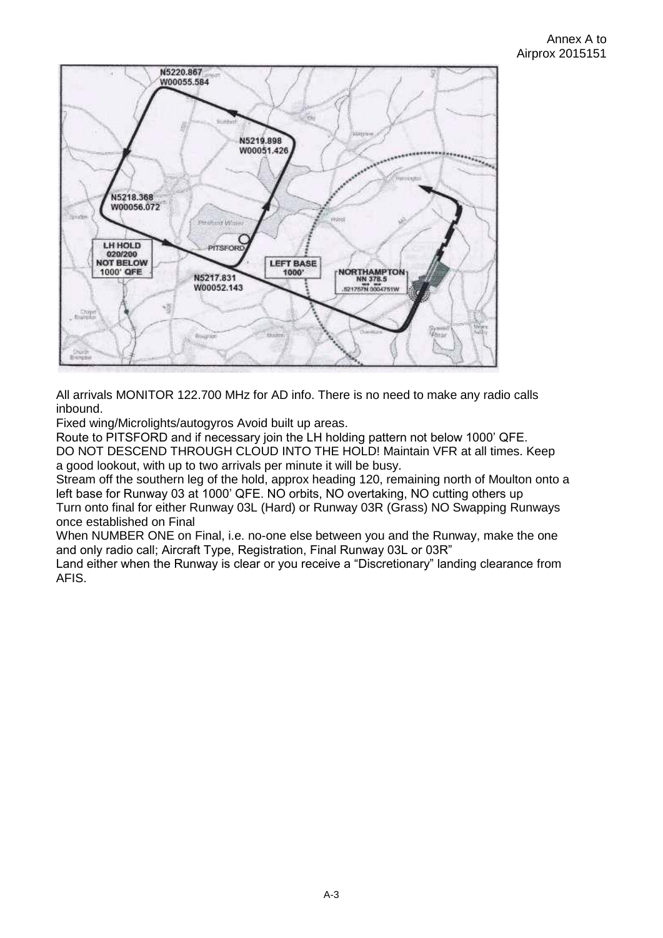

All arrivals MONITOR 122.700 MHz for AD info. There is no need to make any radio calls inbound.

Fixed wing/Microlights/autogyros Avoid built up areas.

Route to PITSFORD and if necessary join the LH holding pattern not below 1000' QFE. DO NOT DESCEND THROUGH CLOUD INTO THE HOLD! Maintain VFR at all times. Keep a good lookout, with up to two arrivals per minute it will be busy.

Stream off the southern leg of the hold, approx heading 120, remaining north of Moulton onto a left base for Runway 03 at 1000' QFE. NO orbits, NO overtaking, NO cutting others up Turn onto final for either Runway 03L (Hard) or Runway 03R (Grass) NO Swapping Runways once established on Final

When NUMBER ONE on Final, i.e. no-one else between you and the Runway, make the one and only radio call; Aircraft Type, Registration, Final Runway 03L or 03R"

Land either when the Runway is clear or you receive a "Discretionary" landing clearance from AFIS.